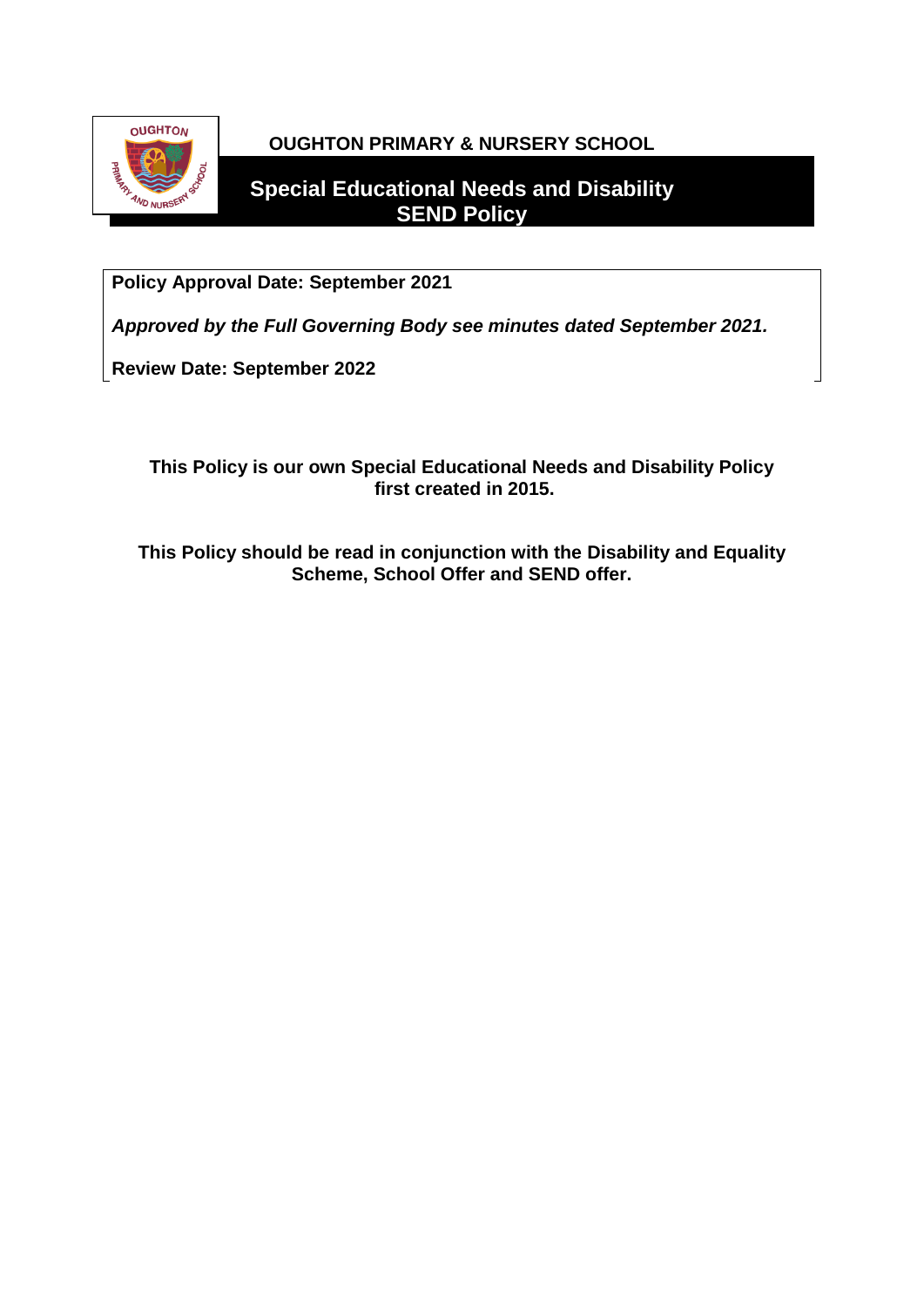

# **OUGHTON PRIMARY & NURSERY SCHOOL**

# **Special Educational Needs and Disability SEND Policy**

**Policy Approval Date: September 2021**

*Approved by the Full Governing Body see minutes dated September 2021.*

**Review Date: September 2022**

# **This Policy is our own Special Educational Needs and Disability Policy first created in 2015.**

**This Policy should be read in conjunction with the Disability and Equality Scheme, School Offer and SEND offer.**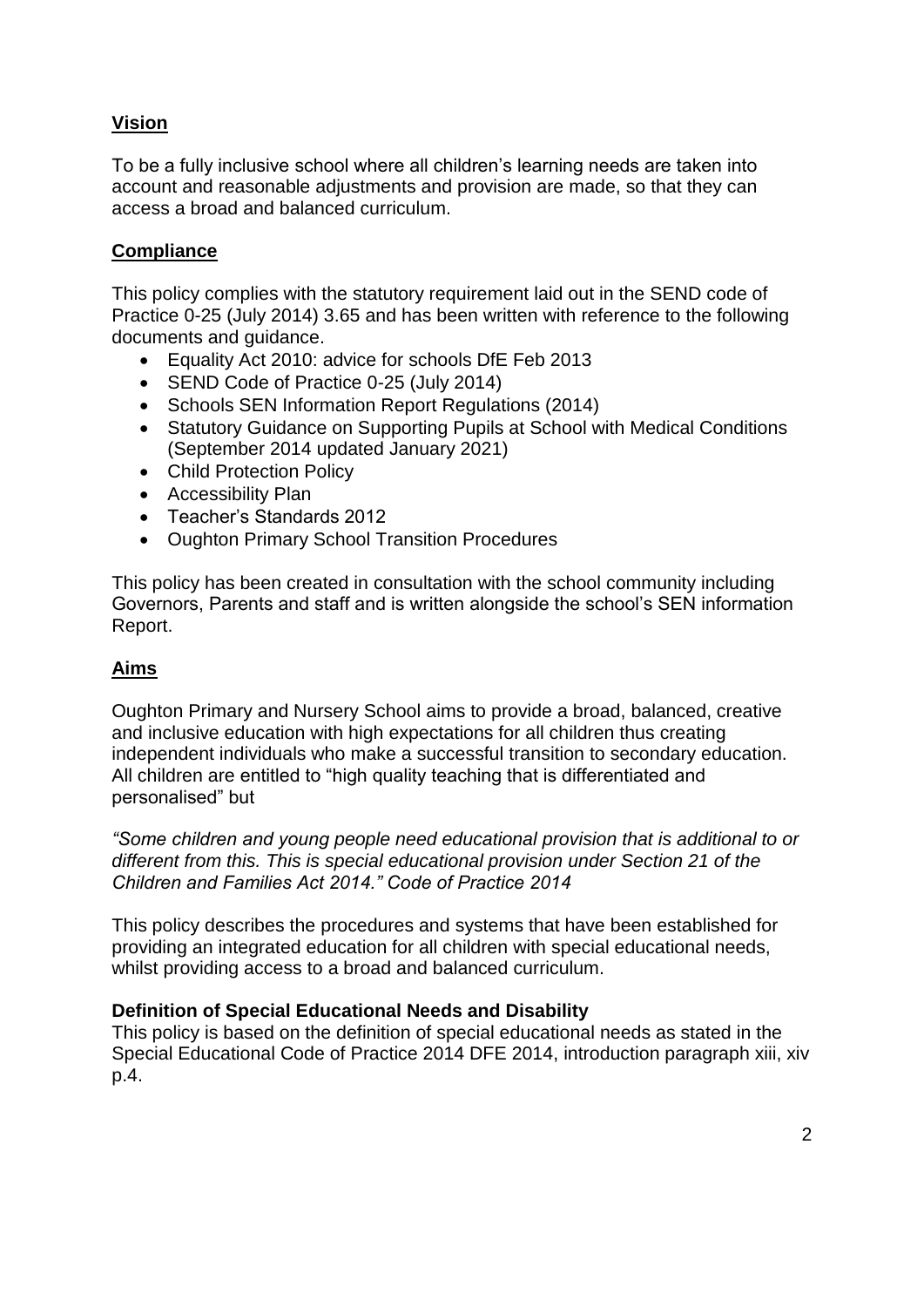# **Vision**

To be a fully inclusive school where all children's learning needs are taken into account and reasonable adjustments and provision are made, so that they can access a broad and balanced curriculum.

### **Compliance**

This policy complies with the statutory requirement laid out in the SEND code of Practice 0-25 (July 2014) 3.65 and has been written with reference to the following documents and guidance.

- Equality Act 2010: advice for schools DfE Feb 2013
- SEND Code of Practice 0-25 (July 2014)
- Schools SEN Information Report Regulations (2014)
- Statutory Guidance on Supporting Pupils at School with Medical Conditions (September 2014 updated January 2021)
- Child Protection Policy
- Accessibility Plan
- Teacher's Standards 2012
- Oughton Primary School Transition Procedures

This policy has been created in consultation with the school community including Governors, Parents and staff and is written alongside the school's SEN information Report.

#### **Aims**

Oughton Primary and Nursery School aims to provide a broad, balanced, creative and inclusive education with high expectations for all children thus creating independent individuals who make a successful transition to secondary education. All children are entitled to "high quality teaching that is differentiated and personalised" but

*"Some children and young people need educational provision that is additional to or different from this. This is special educational provision under Section 21 of the Children and Families Act 2014." Code of Practice 2014*

This policy describes the procedures and systems that have been established for providing an integrated education for all children with special educational needs, whilst providing access to a broad and balanced curriculum.

#### **Definition of Special Educational Needs and Disability**

This policy is based on the definition of special educational needs as stated in the Special Educational Code of Practice 2014 DFE 2014, introduction paragraph xiii, xiv p.4.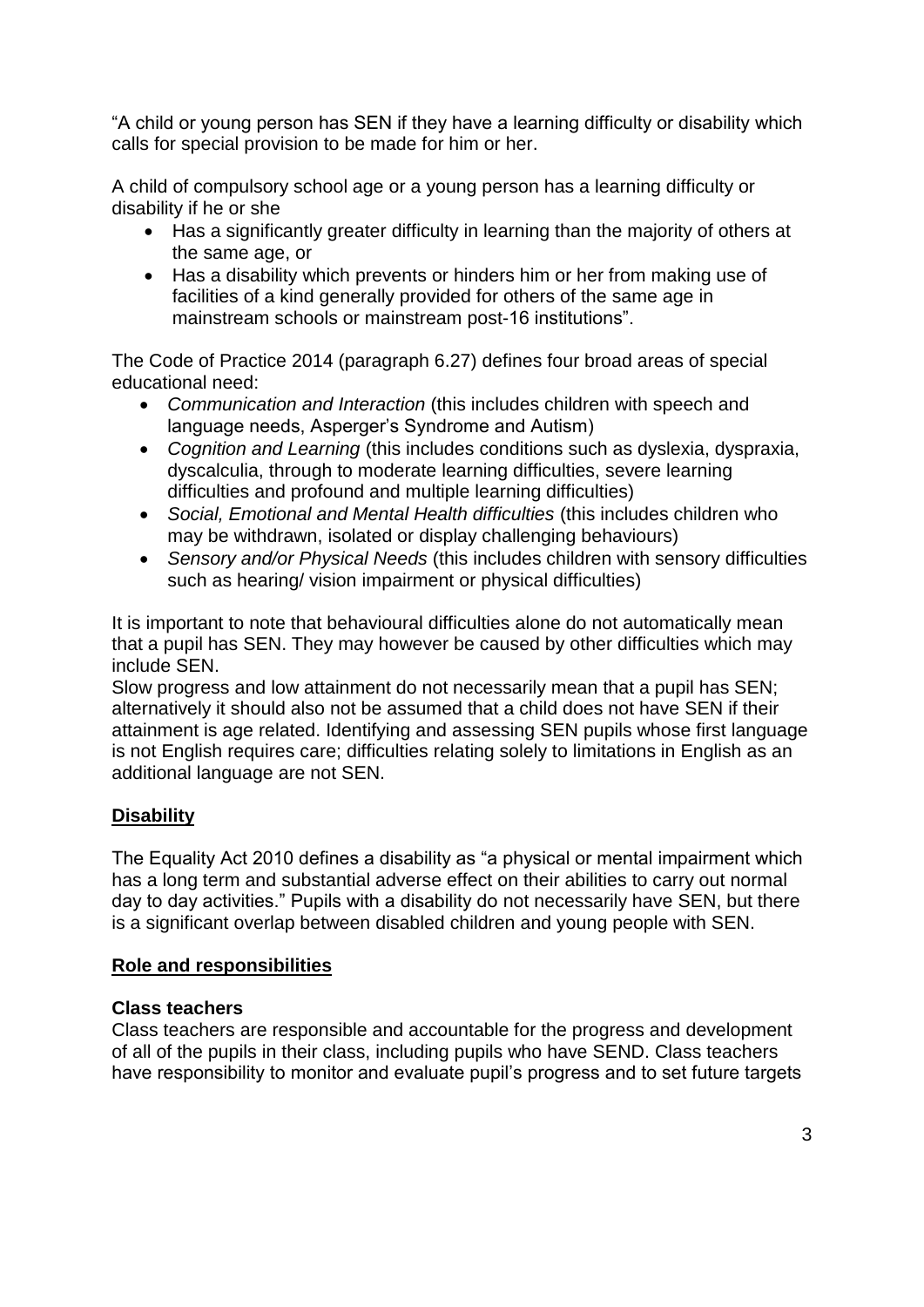"A child or young person has SEN if they have a learning difficulty or disability which calls for special provision to be made for him or her.

A child of compulsory school age or a young person has a learning difficulty or disability if he or she

- Has a significantly greater difficulty in learning than the majority of others at the same age, or
- Has a disability which prevents or hinders him or her from making use of facilities of a kind generally provided for others of the same age in mainstream schools or mainstream post-16 institutions".

The Code of Practice 2014 (paragraph 6.27) defines four broad areas of special educational need:

- *Communication and Interaction* (this includes children with speech and language needs, Asperger's Syndrome and Autism)
- *Cognition and Learning* (this includes conditions such as dyslexia, dyspraxia, dyscalculia, through to moderate learning difficulties, severe learning difficulties and profound and multiple learning difficulties)
- *Social, Emotional and Mental Health difficulties* (this includes children who may be withdrawn, isolated or display challenging behaviours)
- *Sensory and/or Physical Needs* (this includes children with sensory difficulties such as hearing/ vision impairment or physical difficulties)

It is important to note that behavioural difficulties alone do not automatically mean that a pupil has SEN. They may however be caused by other difficulties which may include SEN.

Slow progress and low attainment do not necessarily mean that a pupil has SEN; alternatively it should also not be assumed that a child does not have SEN if their attainment is age related. Identifying and assessing SEN pupils whose first language is not English requires care; difficulties relating solely to limitations in English as an additional language are not SEN.

# **Disability**

The Equality Act 2010 defines a disability as "a physical or mental impairment which has a long term and substantial adverse effect on their abilities to carry out normal day to day activities." Pupils with a disability do not necessarily have SEN, but there is a significant overlap between disabled children and young people with SEN.

# **Role and responsibilities**

#### **Class teachers**

Class teachers are responsible and accountable for the progress and development of all of the pupils in their class, including pupils who have SEND. Class teachers have responsibility to monitor and evaluate pupil's progress and to set future targets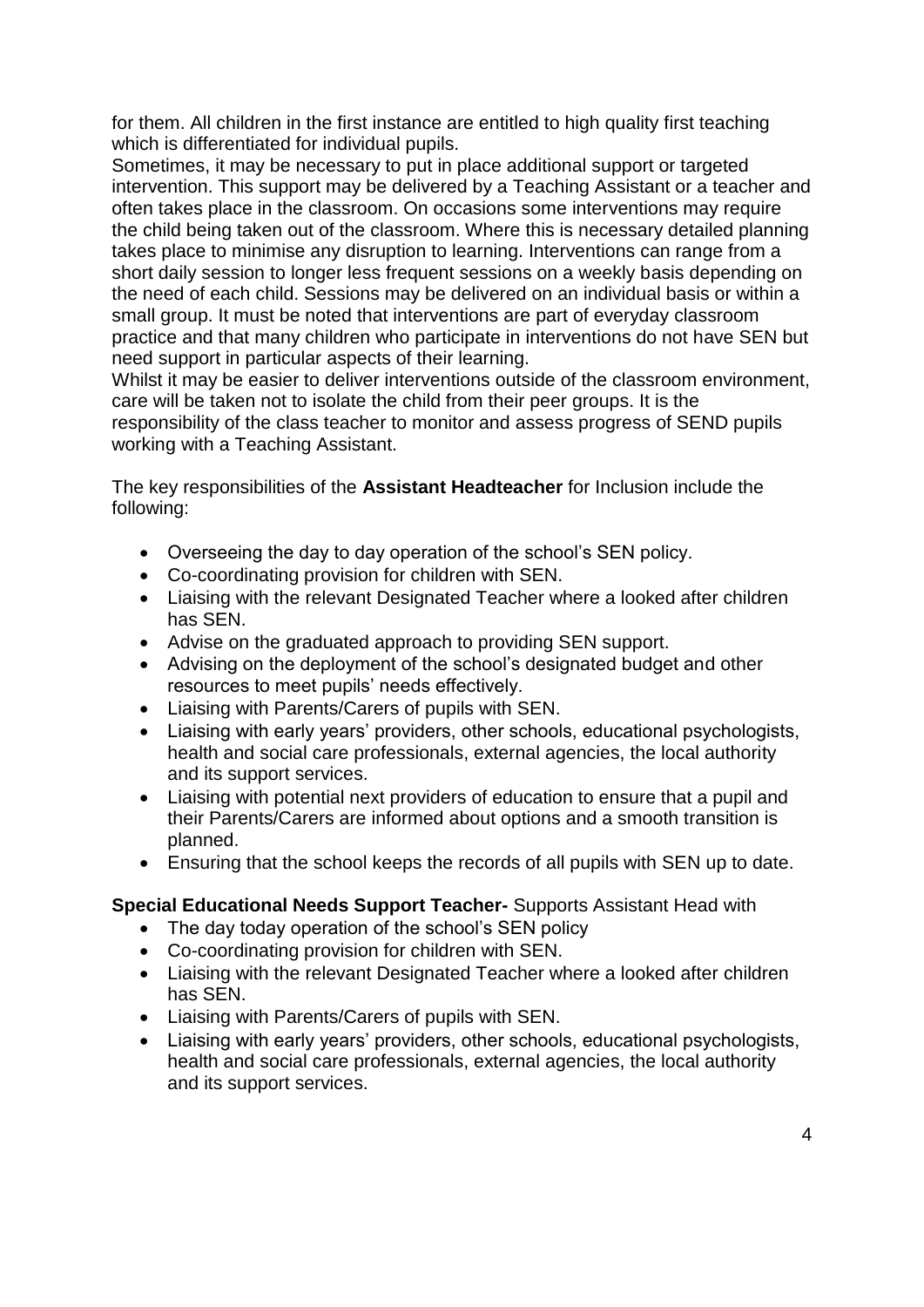for them. All children in the first instance are entitled to high quality first teaching which is differentiated for individual pupils.

Sometimes, it may be necessary to put in place additional support or targeted intervention. This support may be delivered by a Teaching Assistant or a teacher and often takes place in the classroom. On occasions some interventions may require the child being taken out of the classroom. Where this is necessary detailed planning takes place to minimise any disruption to learning. Interventions can range from a short daily session to longer less frequent sessions on a weekly basis depending on the need of each child. Sessions may be delivered on an individual basis or within a small group. It must be noted that interventions are part of everyday classroom practice and that many children who participate in interventions do not have SEN but need support in particular aspects of their learning.

Whilst it may be easier to deliver interventions outside of the classroom environment, care will be taken not to isolate the child from their peer groups. It is the responsibility of the class teacher to monitor and assess progress of SEND pupils working with a Teaching Assistant.

The key responsibilities of the **Assistant Headteacher** for Inclusion include the following:

- Overseeing the day to day operation of the school's SEN policy.
- Co-coordinating provision for children with SEN.
- Liaising with the relevant Designated Teacher where a looked after children has SEN.
- Advise on the graduated approach to providing SEN support.
- Advising on the deployment of the school's designated budget and other resources to meet pupils' needs effectively.
- Liaising with Parents/Carers of pupils with SEN.
- Liaising with early years' providers, other schools, educational psychologists, health and social care professionals, external agencies, the local authority and its support services.
- Liaising with potential next providers of education to ensure that a pupil and their Parents/Carers are informed about options and a smooth transition is planned.
- Ensuring that the school keeps the records of all pupils with SEN up to date.

#### **Special Educational Needs Support Teacher-** Supports Assistant Head with

- The day today operation of the school's SEN policy
- Co-coordinating provision for children with SEN.
- Liaising with the relevant Designated Teacher where a looked after children has SEN.
- Liaising with Parents/Carers of pupils with SEN.
- Liaising with early years' providers, other schools, educational psychologists, health and social care professionals, external agencies, the local authority and its support services.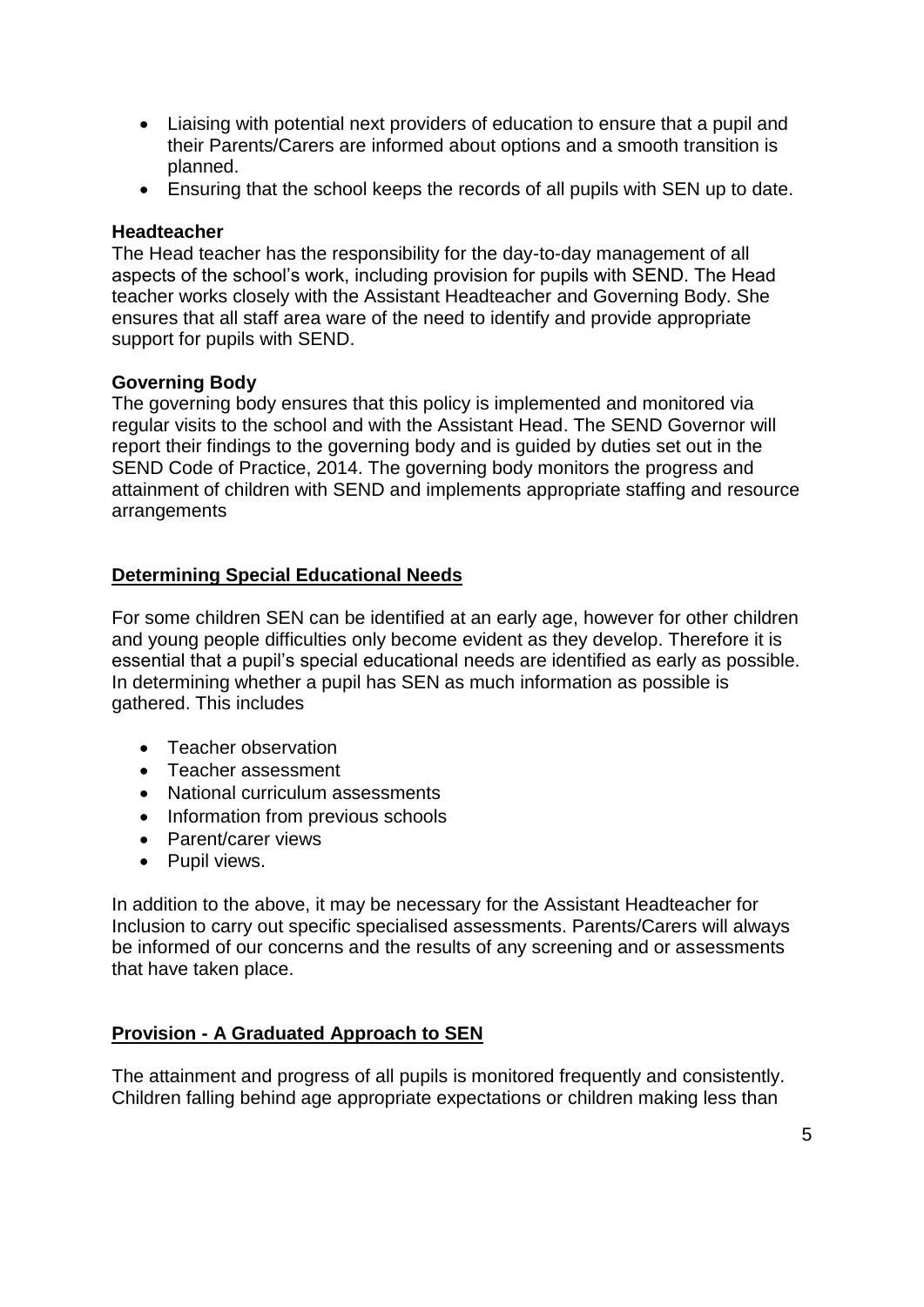- Liaising with potential next providers of education to ensure that a pupil and their Parents/Carers are informed about options and a smooth transition is planned.
- Ensuring that the school keeps the records of all pupils with SEN up to date.

#### **Headteacher**

The Head teacher has the responsibility for the day-to-day management of all aspects of the school's work, including provision for pupils with SEND. The Head teacher works closely with the Assistant Headteacher and Governing Body. She ensures that all staff area ware of the need to identify and provide appropriate support for pupils with SEND.

#### **Governing Body**

The governing body ensures that this policy is implemented and monitored via regular visits to the school and with the Assistant Head. The SEND Governor will report their findings to the governing body and is guided by duties set out in the SEND Code of Practice, 2014. The governing body monitors the progress and attainment of children with SEND and implements appropriate staffing and resource arrangements

### **Determining Special Educational Needs**

For some children SEN can be identified at an early age, however for other children and young people difficulties only become evident as they develop. Therefore it is essential that a pupil's special educational needs are identified as early as possible. In determining whether a pupil has SEN as much information as possible is gathered. This includes

- Teacher observation
- Teacher assessment
- National curriculum assessments
- Information from previous schools
- Parent/carer views
- Pupil views.

In addition to the above, it may be necessary for the Assistant Headteacher for Inclusion to carry out specific specialised assessments. Parents/Carers will always be informed of our concerns and the results of any screening and or assessments that have taken place.

# **Provision - A Graduated Approach to SEN**

The attainment and progress of all pupils is monitored frequently and consistently. Children falling behind age appropriate expectations or children making less than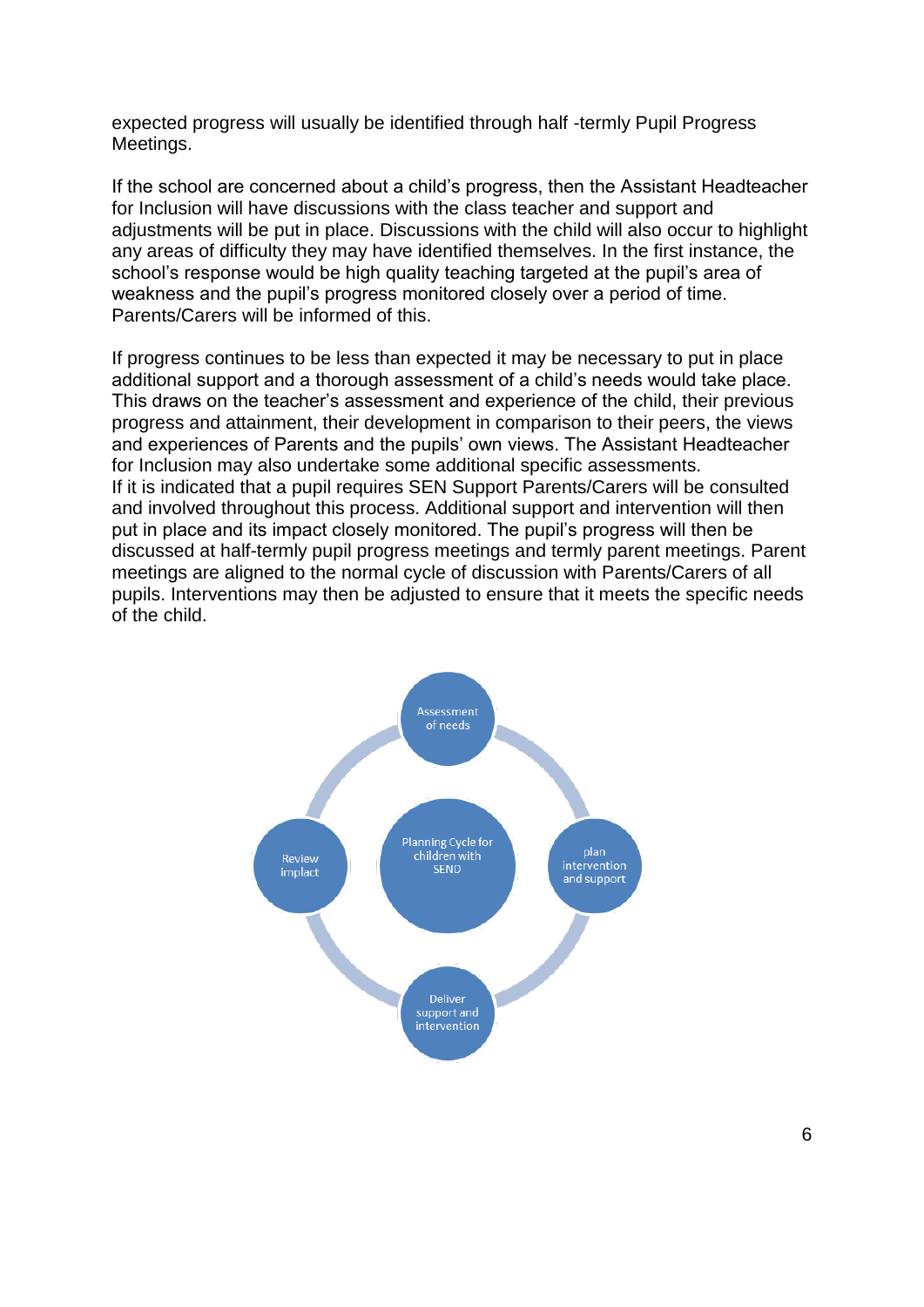expected progress will usually be identified through half -termly Pupil Progress Meetings.

If the school are concerned about a child's progress, then the Assistant Headteacher for Inclusion will have discussions with the class teacher and support and adjustments will be put in place. Discussions with the child will also occur to highlight any areas of difficulty they may have identified themselves. In the first instance, the school's response would be high quality teaching targeted at the pupil's area of weakness and the pupil's progress monitored closely over a period of time. Parents/Carers will be informed of this.

If progress continues to be less than expected it may be necessary to put in place additional support and a thorough assessment of a child's needs would take place. This draws on the teacher's assessment and experience of the child, their previous progress and attainment, their development in comparison to their peers, the views and experiences of Parents and the pupils' own views. The Assistant Headteacher for Inclusion may also undertake some additional specific assessments. If it is indicated that a pupil requires SEN Support Parents/Carers will be consulted and involved throughout this process. Additional support and intervention will then put in place and its impact closely monitored. The pupil's progress will then be discussed at half-termly pupil progress meetings and termly parent meetings. Parent meetings are aligned to the normal cycle of discussion with Parents/Carers of all pupils. Interventions may then be adjusted to ensure that it meets the specific needs of the child.

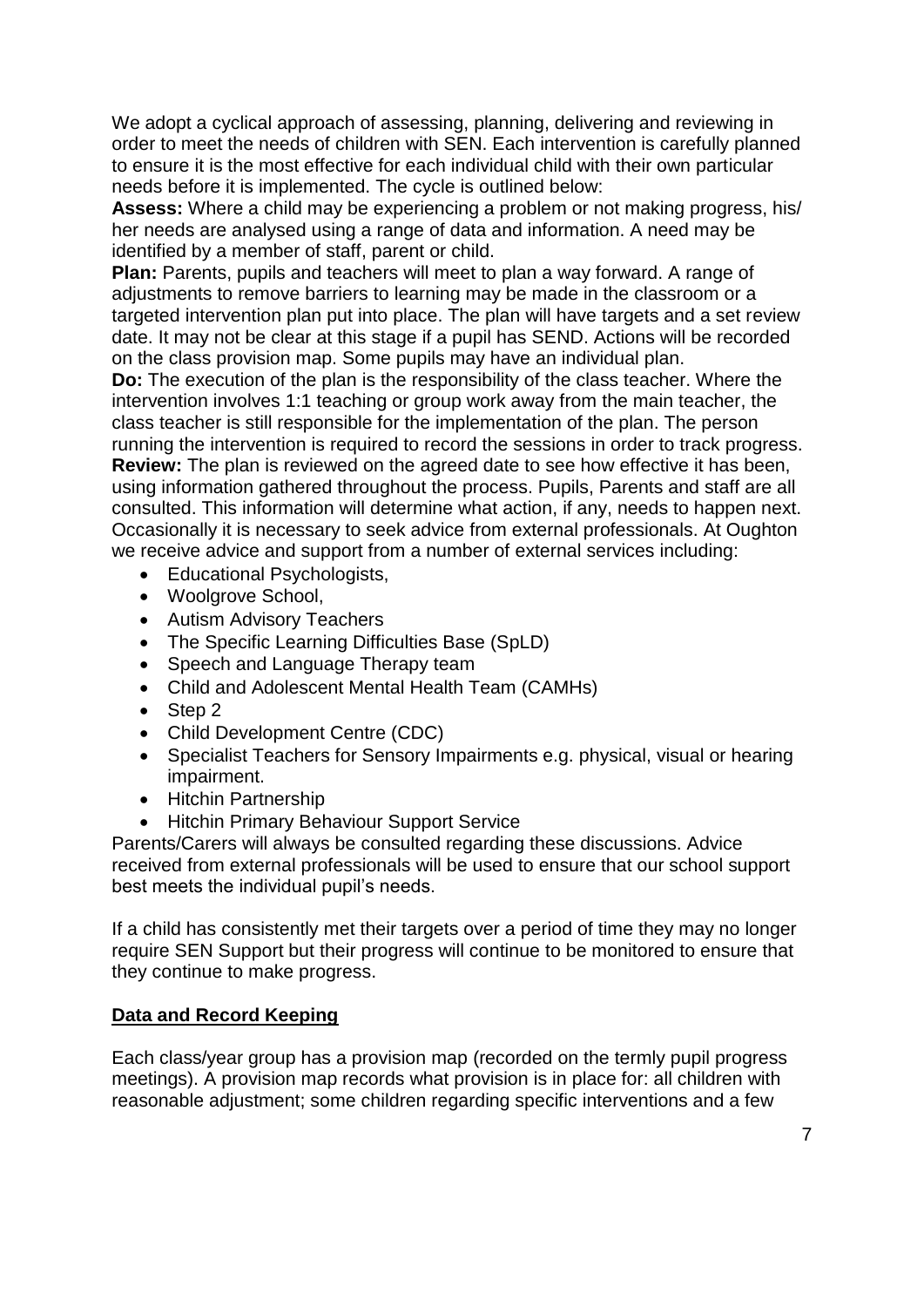We adopt a cyclical approach of assessing, planning, delivering and reviewing in order to meet the needs of children with SEN. Each intervention is carefully planned to ensure it is the most effective for each individual child with their own particular needs before it is implemented. The cycle is outlined below:

**Assess:** Where a child may be experiencing a problem or not making progress, his/ her needs are analysed using a range of data and information. A need may be identified by a member of staff, parent or child.

**Plan:** Parents, pupils and teachers will meet to plan a way forward. A range of adjustments to remove barriers to learning may be made in the classroom or a targeted intervention plan put into place. The plan will have targets and a set review date. It may not be clear at this stage if a pupil has SEND. Actions will be recorded on the class provision map. Some pupils may have an individual plan.

**Do:** The execution of the plan is the responsibility of the class teacher. Where the intervention involves 1:1 teaching or group work away from the main teacher, the class teacher is still responsible for the implementation of the plan. The person running the intervention is required to record the sessions in order to track progress. **Review:** The plan is reviewed on the agreed date to see how effective it has been, using information gathered throughout the process. Pupils, Parents and staff are all consulted. This information will determine what action, if any, needs to happen next. Occasionally it is necessary to seek advice from external professionals. At Oughton we receive advice and support from a number of external services including:

- Educational Psychologists,
- Woolgrove School,
- Autism Advisory Teachers
- The Specific Learning Difficulties Base (SpLD)
- Speech and Language Therapy team
- Child and Adolescent Mental Health Team (CAMHs)
- Step 2
- Child Development Centre (CDC)
- Specialist Teachers for Sensory Impairments e.g. physical, visual or hearing impairment.
- Hitchin Partnership
- Hitchin Primary Behaviour Support Service

Parents/Carers will always be consulted regarding these discussions. Advice received from external professionals will be used to ensure that our school support best meets the individual pupil's needs.

If a child has consistently met their targets over a period of time they may no longer require SEN Support but their progress will continue to be monitored to ensure that they continue to make progress.

#### **Data and Record Keeping**

Each class/year group has a provision map (recorded on the termly pupil progress meetings). A provision map records what provision is in place for: all children with reasonable adjustment; some children regarding specific interventions and a few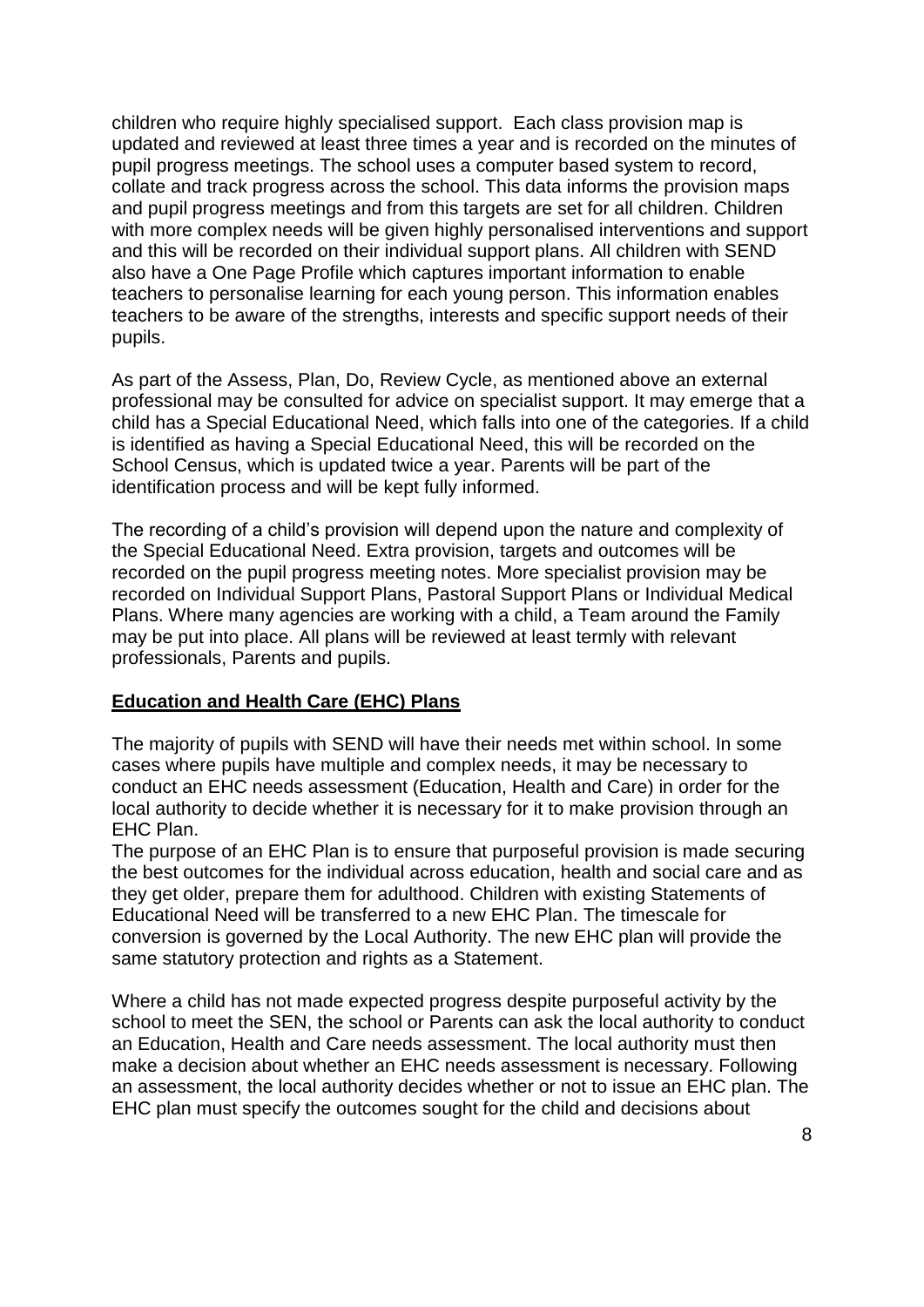children who require highly specialised support. Each class provision map is updated and reviewed at least three times a year and is recorded on the minutes of pupil progress meetings. The school uses a computer based system to record, collate and track progress across the school. This data informs the provision maps and pupil progress meetings and from this targets are set for all children. Children with more complex needs will be given highly personalised interventions and support and this will be recorded on their individual support plans. All children with SEND also have a One Page Profile which captures important information to enable teachers to personalise learning for each young person. This information enables teachers to be aware of the strengths, interests and specific support needs of their pupils.

As part of the Assess, Plan, Do, Review Cycle, as mentioned above an external professional may be consulted for advice on specialist support. It may emerge that a child has a Special Educational Need, which falls into one of the categories. If a child is identified as having a Special Educational Need, this will be recorded on the School Census, which is updated twice a year. Parents will be part of the identification process and will be kept fully informed.

The recording of a child's provision will depend upon the nature and complexity of the Special Educational Need. Extra provision, targets and outcomes will be recorded on the pupil progress meeting notes. More specialist provision may be recorded on Individual Support Plans, Pastoral Support Plans or Individual Medical Plans. Where many agencies are working with a child, a Team around the Family may be put into place. All plans will be reviewed at least termly with relevant professionals, Parents and pupils.

#### **Education and Health Care (EHC) Plans**

The majority of pupils with SEND will have their needs met within school. In some cases where pupils have multiple and complex needs, it may be necessary to conduct an EHC needs assessment (Education, Health and Care) in order for the local authority to decide whether it is necessary for it to make provision through an EHC Plan.

The purpose of an EHC Plan is to ensure that purposeful provision is made securing the best outcomes for the individual across education, health and social care and as they get older, prepare them for adulthood. Children with existing Statements of Educational Need will be transferred to a new EHC Plan. The timescale for conversion is governed by the Local Authority. The new EHC plan will provide the same statutory protection and rights as a Statement.

Where a child has not made expected progress despite purposeful activity by the school to meet the SEN, the school or Parents can ask the local authority to conduct an Education, Health and Care needs assessment. The local authority must then make a decision about whether an EHC needs assessment is necessary. Following an assessment, the local authority decides whether or not to issue an EHC plan. The EHC plan must specify the outcomes sought for the child and decisions about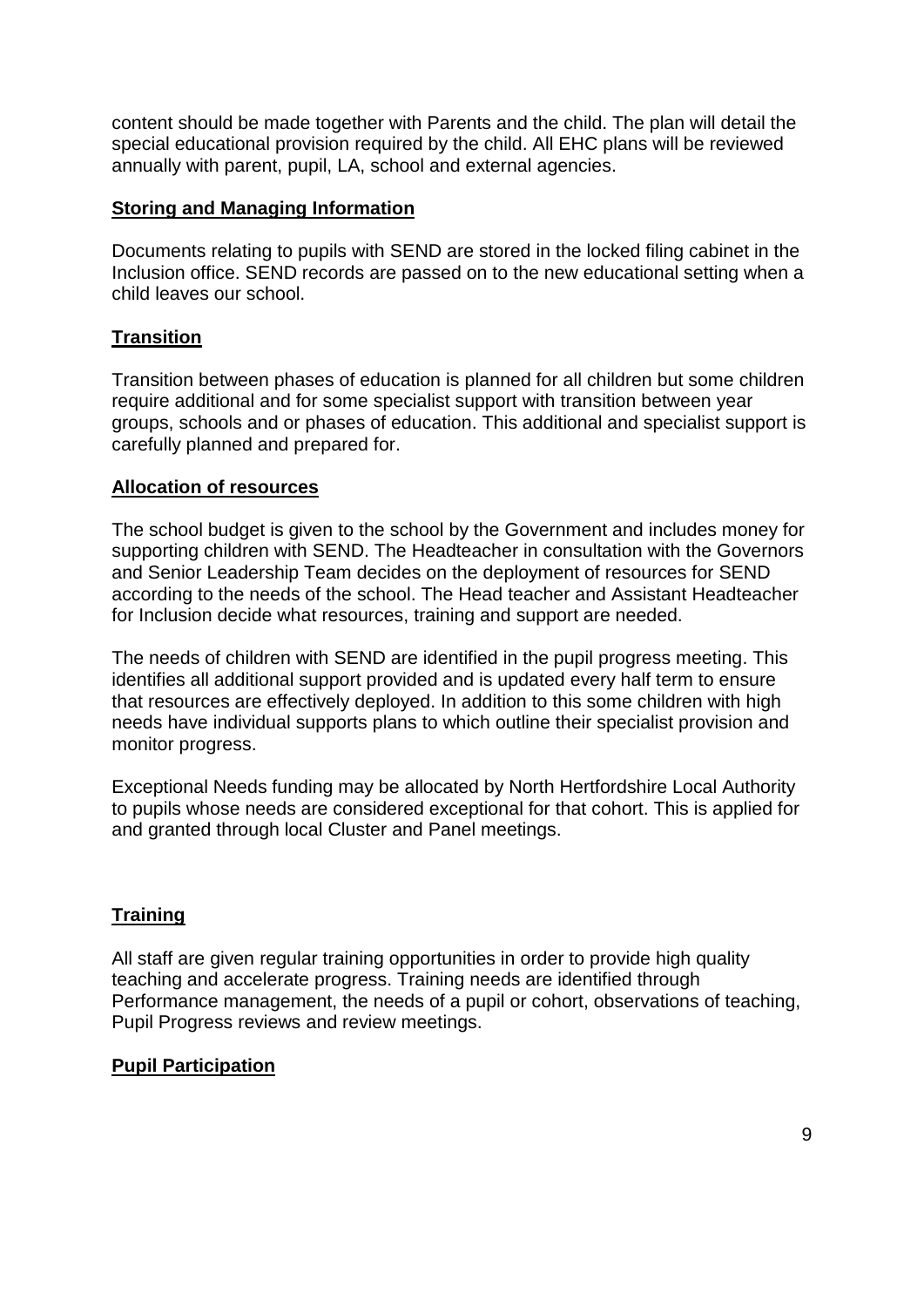content should be made together with Parents and the child. The plan will detail the special educational provision required by the child. All EHC plans will be reviewed annually with parent, pupil, LA, school and external agencies.

### **Storing and Managing Information**

Documents relating to pupils with SEND are stored in the locked filing cabinet in the Inclusion office. SEND records are passed on to the new educational setting when a child leaves our school.

# **Transition**

Transition between phases of education is planned for all children but some children require additional and for some specialist support with transition between year groups, schools and or phases of education. This additional and specialist support is carefully planned and prepared for.

### **Allocation of resources**

The school budget is given to the school by the Government and includes money for supporting children with SEND. The Headteacher in consultation with the Governors and Senior Leadership Team decides on the deployment of resources for SEND according to the needs of the school. The Head teacher and Assistant Headteacher for Inclusion decide what resources, training and support are needed.

The needs of children with SEND are identified in the pupil progress meeting. This identifies all additional support provided and is updated every half term to ensure that resources are effectively deployed. In addition to this some children with high needs have individual supports plans to which outline their specialist provision and monitor progress.

Exceptional Needs funding may be allocated by North Hertfordshire Local Authority to pupils whose needs are considered exceptional for that cohort. This is applied for and granted through local Cluster and Panel meetings.

# **Training**

All staff are given regular training opportunities in order to provide high quality teaching and accelerate progress. Training needs are identified through Performance management, the needs of a pupil or cohort, observations of teaching, Pupil Progress reviews and review meetings.

#### **Pupil Participation**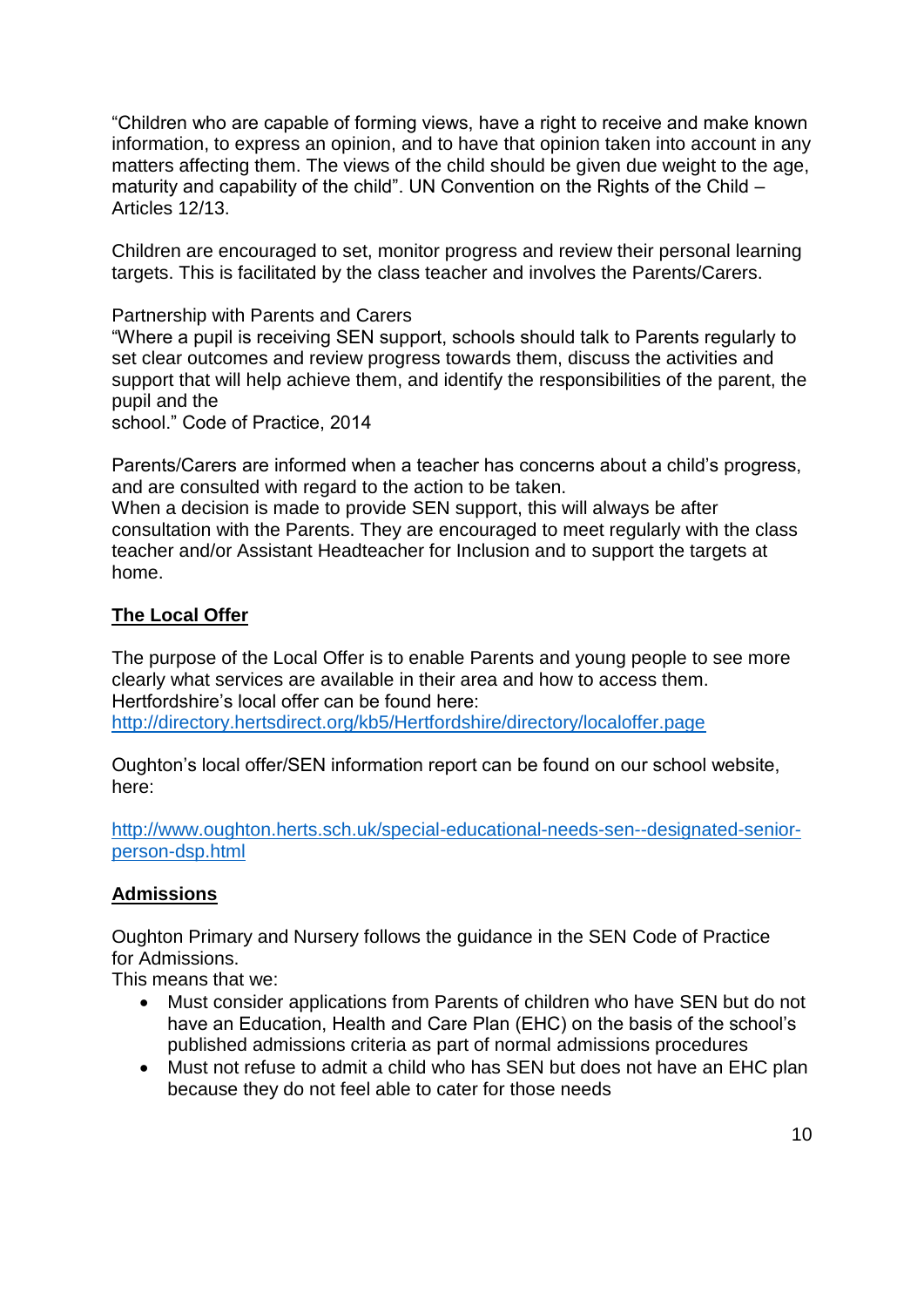"Children who are capable of forming views, have a right to receive and make known information, to express an opinion, and to have that opinion taken into account in any matters affecting them. The views of the child should be given due weight to the age, maturity and capability of the child". UN Convention on the Rights of the Child – Articles 12/13.

Children are encouraged to set, monitor progress and review their personal learning targets. This is facilitated by the class teacher and involves the Parents/Carers.

Partnership with Parents and Carers

"Where a pupil is receiving SEN support, schools should talk to Parents regularly to set clear outcomes and review progress towards them, discuss the activities and support that will help achieve them, and identify the responsibilities of the parent, the pupil and the

school." Code of Practice, 2014

Parents/Carers are informed when a teacher has concerns about a child's progress, and are consulted with regard to the action to be taken.

When a decision is made to provide SEN support, this will always be after consultation with the Parents. They are encouraged to meet regularly with the class teacher and/or Assistant Headteacher for Inclusion and to support the targets at home.

# **The Local Offer**

The purpose of the Local Offer is to enable Parents and young people to see more clearly what services are available in their area and how to access them. Hertfordshire's local offer can be found here: <http://directory.hertsdirect.org/kb5/Hertfordshire/directory/localoffer.page>

Oughton's local offer/SEN information report can be found on our school website, here:

[http://www.oughton.herts.sch.uk/special-educational-needs-sen--designated-senior](http://www.oughton.herts.sch.uk/special-educational-needs-sen--designated-senior-person-dsp.html)[person-dsp.html](http://www.oughton.herts.sch.uk/special-educational-needs-sen--designated-senior-person-dsp.html)

#### **Admissions**

Oughton Primary and Nursery follows the guidance in the SEN Code of Practice for Admissions.

This means that we:

- Must consider applications from Parents of children who have SEN but do not have an Education, Health and Care Plan (EHC) on the basis of the school's published admissions criteria as part of normal admissions procedures
- Must not refuse to admit a child who has SEN but does not have an EHC plan because they do not feel able to cater for those needs